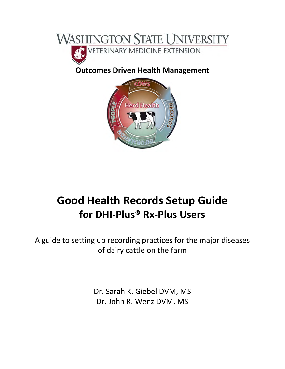

### **Outcomes Driven Health Management**



## **Good Health Records Setup Guide for DHI‐Plus® Rx‐Plus Users**

A guide to setting up recording practices for the major diseases of dairy cattle on the farm

> Dr. Sarah K. Giebel DVM, MS Dr. John R. Wenz DVM, MS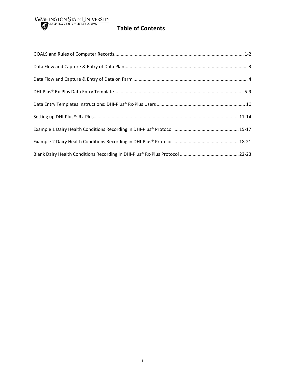# **WASHINGTON STATE UNIVERSITY**<br> **Table of Contents**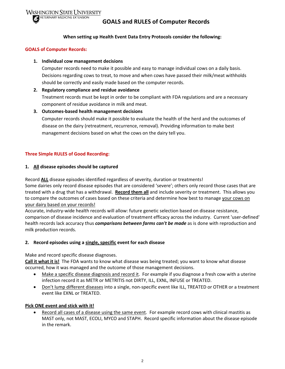



#### **When setting up Health Event Data Entry Protocols consider the following:**

#### **GOALS of Computer Records:**

#### **1. Individual cow management decisions**

Computer records need to make it possible and easy to manage individual cows on a daily basis. Decisions regarding cows to treat, to move and when cows have passed their milk/meat withholds should be correctly and easily made based on the computer records.

#### **2. Regulatory compliance and residue avoidance**

Treatment records must be kept in order to be compliant with FDA regulations and are a necessary component of residue avoidance in milk and meat.

#### **3. Outcomes‐based health management decisions**

Computer records should make it possible to evaluate the health of the herd and the outcomes of disease on the dairy (retreatment, recurrence, removal). Providing information to make best management decisions based on what the cows on the dairy tell you.

#### **Three Simple RULES of Good Recording:**

#### **1. All disease episodes should be captured**

Record **ALL** disease episodes identified regardless of severity, duration or treatments!

Some dairies only record disease episodes that are considered 'severe'; others only record those cases that are treated with a drug that has a withdrawal. **Record them all** and include severity or treatment. This allows you to compare the outcomes of cases based on these criteria and determine how best to manage your cows on your dairy based on your records!

Accurate, industry‐wide health records will allow: future genetic selection based on disease resistance, comparison of disease incidence and evaluation of treatment efficacy across the industry. Current 'user‐defined' health records lack accuracy thus *comparisons between farms can't be made* as is done with reproduction and milk production records.

#### **2. Record episodes using a single, specific event for each disease**

Make and record specific disease diagnoses.

**Call it what it is!** The FDA wants to know what disease was being treated; you want to know what disease occurred, how it was managed and the outcome of those management decisions.

- Make a specific disease diagnosis and record it. For example if you diagnose a fresh cow with a uterine infection record it as METR or METRITIS not DIRTY, ILL, EXNL, INFUSE or TREATED.
- Don't lump different diseases into a single, non-specific event like ILL, TREATED or OTHER or a treatment event like EXNL or TREATED.

#### **Pick ONE event and stick with it!**

 Record all cases of a disease using the same event. For example record cows with clinical mastitis as MAST only, not MAST, ECOLI, MYCO and STAPH. Record specific information about the disease episode in the remark.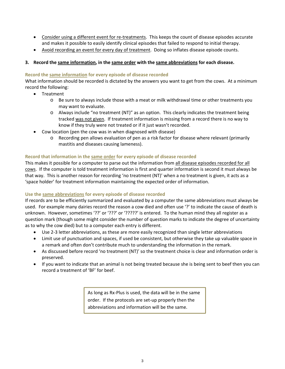- Consider using a different event for re-treatments. This keeps the count of disease episodes accurate and makes it possible to easily identify clinical episodes that failed to respond to initial therapy.
- Avoid recording an event for every day of treatment. Doing so inflates disease episode counts.

#### **3. Record the same information, in the same order with the same abbreviations for each disease.**

#### **Record the same information for every episode of disease recorded**

What information should be recorded is dictated by the answers you want to get from the cows. At a minimum record the following:

- Treatment
	- o Be sure to always include those with a meat or milk withdrawal time or other treatments you may want to evaluate.
	- o Always include "no treatment (NT)" as an option. This clearly indicates the treatment being tracked was not given. If treatment information is missing from a record there is no way to know if they truly were not treated or if it just wasn't recorded.
- Cow location (pen the cow was in when diagnosed with disease)
	- o Recording pen allows evaluation of pen as a risk factor for disease where relevant (primarily mastitis and diseases causing lameness).

#### **Record that information in the same order for every episode of disease recorded**

This makes it possible for a computer to parse out the information from all disease episodes recorded for all cows. If the computer is told treatment information is first and quarter information is second it must always be that way. This is another reason for recording 'no treatment (NT)' when a no treatment is given, it acts as a 'space holder' for treatment information maintaining the expected order of information.

#### **Use the same abbreviations for every episode of disease recorded**

If records are to be efficiently summarized and evaluated by a computer the same abbreviations must always be used. For example many dairies record the reason a cow died and often use '?' to indicate the cause of death is unknown. However, sometimes '??' or '???' or '?????' is entered. To the human mind they all register as a question mark (though some might consider the number of question marks to indicate the degree of uncertainty as to why the cow died) but to a computer each entry is different.

- Use 2-3 letter abbreviations, as these are more easily recognized than single letter abbreviations
- Limit use of punctuation and spaces, if used be consistent, but otherwise they take up valuable space in a remark and often don't contribute much to understanding the information in the remark.
- As discussed before record 'no treatment (NT)' so the treatment choice is clear and information order is preserved.
- If you want to indicate that an animal is not being treated because she is being sent to beef then you can record a treatment of 'BF' for beef.

As long as Rx‐Plus is used, the data will be in the same order. If the protocols are set‐up properly then the abbreviations and information will be the same.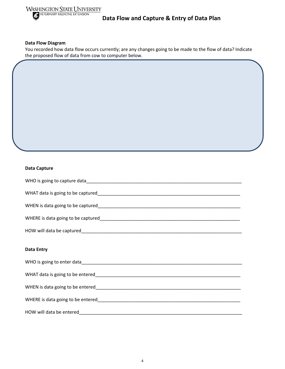

#### **Data Flow and Capture & Entry of Data Plan**

#### **Data Flow Diagram**

You recorded how data flow occurs currently; are any changes going to be made to the flow of data? Indicate the proposed flow of data from cow to computer below.

#### **Data Capture**

| <b>Data Entry</b> |
|-------------------|
|                   |
|                   |

WHERE is data going to be entered\_\_\_\_\_\_\_\_\_\_\_\_\_\_\_\_\_\_\_\_\_\_\_\_\_\_\_\_\_\_\_\_\_\_\_\_\_\_\_\_\_\_\_\_\_\_\_\_\_\_\_\_\_\_\_\_

HOW will data be entered\_\_\_\_\_\_\_\_\_\_\_\_\_\_\_\_\_\_\_\_\_\_\_\_\_\_\_\_\_\_\_\_\_\_\_\_\_\_\_\_\_\_\_\_\_\_\_\_\_\_\_\_\_\_\_\_\_\_\_\_\_\_\_\_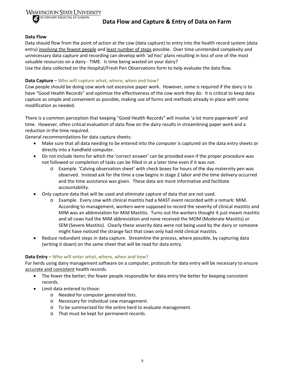



**Data Flow and Capture & Entry of Data on Farm**

#### **Data Flow**

Data should flow from the point of action at the cow (data capture) to entry into the health record system (data entry) involving the fewest people and least number of steps possible. Over time unintended complexity and unnecessary data capture and recording can develop with 'ad hoc' plans resulting in loss of one of the most valuable resources on a dairy ‐ TIME. Is time being wasted on your dairy?

Use the data collected on the Hospital/Fresh Pen Observations form to help evaluate the data flow.

#### **Data Capture** – **Who will capture what, where, when and how?**

Cow people should be doing cow work not excessive paper work. However, some is required if the dairy is to have "Good Health Records" and optimize the effectiveness of the cow work they do. It is critical to keep data capture as simple and convenient as possible, making use of forms and methods already in place with some modification as needed.

There is a common perception that keeping "Good Health Records" will involve 'a lot more paperwork' and time. However, often critical evaluation of data flow on the dairy results in streamlining paper work and a reduction in the time required.

General recommendations for data capture sheets:

- Make sure that all data needing to be entered into the computer is captured on the data entry sheets or directly into a handheld computer.
- Do not include items for which the 'correct answer' can be provided even if the proper procedure was not followed or completion of tasks can be filled in at a later time even if it was not.
	- o Example. 'Calving observation sheet' with check boxes for hours of the day maternity pen was observed. Instead ask for the time a cow begins in stage 2 labor and the time delivery occurred and the time assistance was given. These data are more informative and facilitate accountability.
- Only capture data that will be used and eliminate capture of data that are not used.
	- Example. Every cow with clinical mastitis had a MAST event recorded with a remark: MIM. According to management, workers were supposed to record the severity of clinical mastitis and MIM was an abbreviation for Mild Mastitis. Turns out the workers thought it just meant mastitis and all cows had the MIM abbreviation and none received the MOM (Moderate Mastitis) or SEM (Severe Mastitis). Clearly these severity data were not being used by the dairy or someone might have noticed the strange fact that cows only had mild clinical mastitis.
- Reduce redundant steps in data capture. Streamline the process, where possible, by capturing data (writing it down) on the same sheet that will be read for data entry.

#### **Data Entry** – **Who will enter what, where, when and how?**

For herds using dairy management software on a computer, protocols for data entry will be necessary to ensure accurate and consistent health records.

- The fewer the better; the fewer people responsible for data entry the better for keeping consistent records.
- Limit data entered to those:
	- o Needed for computer generated lists.
	- o Necessary for individual cow management.
	- o To be summarized for the entire herd to evaluate management.
	- o That must be kept for permanent records.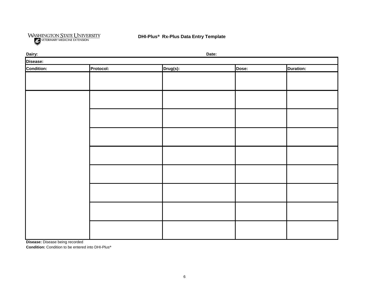

| Dairy:     |           |          | Date: |                  |
|------------|-----------|----------|-------|------------------|
| Disease:   |           |          |       |                  |
| Condition: | Protocol: | Drug(s): | Dose: | <b>Duration:</b> |
|            |           |          |       |                  |
|            |           |          |       |                  |
|            |           |          |       |                  |
|            |           |          |       |                  |
|            |           |          |       |                  |
|            |           |          |       |                  |
|            |           |          |       |                  |
|            |           |          |       |                  |
|            |           |          |       |                  |
|            |           |          |       |                  |
|            |           |          |       |                  |
|            |           |          |       |                  |
|            |           |          |       |                  |
|            |           |          |       |                  |
|            |           |          |       |                  |
|            |           |          |       |                  |
|            |           |          |       |                  |
|            |           |          |       |                  |
|            |           |          |       |                  |
|            |           |          |       |                  |
|            |           |          |       |                  |
|            |           |          |       |                  |
|            |           |          |       |                  |

**Disease:** Disease being recorded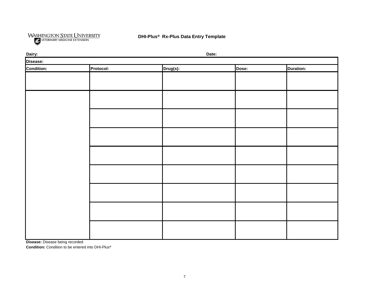

| Dairy:     |           |          | Date: |                  |
|------------|-----------|----------|-------|------------------|
| Disease:   |           |          |       |                  |
| Condition: | Protocol: | Drug(s): | Dose: | <b>Duration:</b> |
|            |           |          |       |                  |
|            |           |          |       |                  |
|            |           |          |       |                  |
|            |           |          |       |                  |
|            |           |          |       |                  |
|            |           |          |       |                  |
|            |           |          |       |                  |
|            |           |          |       |                  |
|            |           |          |       |                  |
|            |           |          |       |                  |
|            |           |          |       |                  |
|            |           |          |       |                  |
|            |           |          |       |                  |
|            |           |          |       |                  |
|            |           |          |       |                  |
|            |           |          |       |                  |
|            |           |          |       |                  |
|            |           |          |       |                  |
|            |           |          |       |                  |

**Disease:** Disease being recorded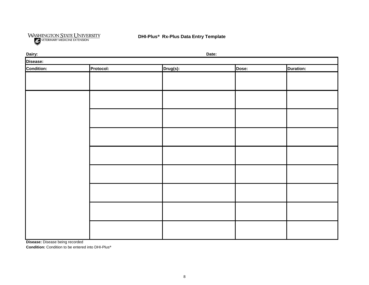

| Dairy:            |           | Date:    |       |                  |
|-------------------|-----------|----------|-------|------------------|
| Disease:          |           |          |       |                  |
| <b>Condition:</b> | Protocol: | Drug(s): | Dose: | <b>Duration:</b> |
|                   |           |          |       |                  |
|                   |           |          |       |                  |
|                   |           |          |       |                  |
|                   |           |          |       |                  |
|                   |           |          |       |                  |
|                   |           |          |       |                  |
|                   |           |          |       |                  |
|                   |           |          |       |                  |
|                   |           |          |       |                  |
|                   |           |          |       |                  |
|                   |           |          |       |                  |
|                   |           |          |       |                  |
|                   |           |          |       |                  |
|                   |           |          |       |                  |
|                   |           |          |       |                  |
|                   |           |          |       |                  |
|                   |           |          |       |                  |
|                   |           |          |       |                  |
|                   |           |          |       |                  |
|                   |           |          |       |                  |
|                   |           |          |       |                  |

**Disease:** Disease being recorded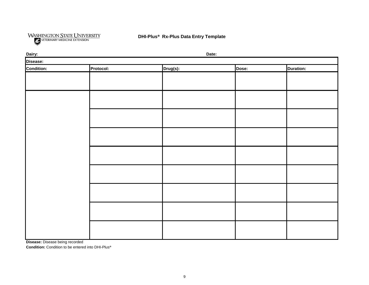

| Dairy:     |           |          | Date: |                  |
|------------|-----------|----------|-------|------------------|
| Disease:   |           |          |       |                  |
| Condition: | Protocol: | Drug(s): | Dose: | <b>Duration:</b> |
|            |           |          |       |                  |
|            |           |          |       |                  |
|            |           |          |       |                  |
|            |           |          |       |                  |
|            |           |          |       |                  |
|            |           |          |       |                  |
|            |           |          |       |                  |
|            |           |          |       |                  |
|            |           |          |       |                  |
|            |           |          |       |                  |
|            |           |          |       |                  |
|            |           |          |       |                  |
|            |           |          |       |                  |
|            |           |          |       |                  |
|            |           |          |       |                  |
|            |           |          |       |                  |
|            |           |          |       |                  |
|            |           |          |       |                  |
|            |           |          |       |                  |
|            |           |          |       |                  |
|            |           |          |       |                  |
|            |           |          |       |                  |
|            |           |          |       |                  |

**Disease:** Disease being recorded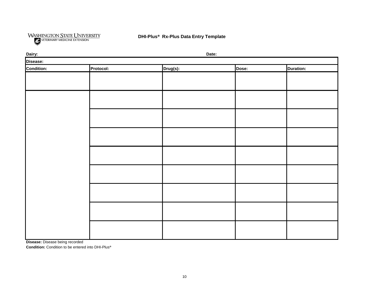

| Dairy:     |           |          | Date: |                  |
|------------|-----------|----------|-------|------------------|
| Disease:   |           |          |       |                  |
| Condition: | Protocol: | Drug(s): | Dose: | <b>Duration:</b> |
|            |           |          |       |                  |
|            |           |          |       |                  |
|            |           |          |       |                  |
|            |           |          |       |                  |
|            |           |          |       |                  |
|            |           |          |       |                  |
|            |           |          |       |                  |
|            |           |          |       |                  |
|            |           |          |       |                  |
|            |           |          |       |                  |
|            |           |          |       |                  |
|            |           |          |       |                  |
|            |           |          |       |                  |
|            |           |          |       |                  |
|            |           |          |       |                  |
|            |           |          |       |                  |
|            |           |          |       |                  |
|            |           |          |       |                  |
|            |           |          |       |                  |
|            |           |          |       |                  |
|            |           |          |       |                  |
|            |           |          |       |                  |
|            |           |          |       |                  |

**Disease:** Disease being recorded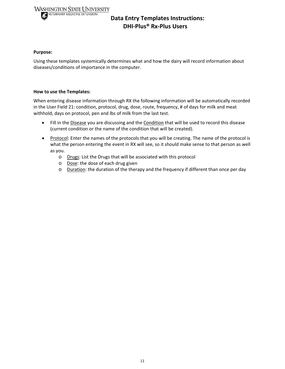#### **WASHINGTON STATE UNIVERSITY SHINGTON STATE UNIVER**<br>**SECURE VETERINARY MEDICINE EXTENSION**

#### **Data Entry Templates Instructions: DHI‐Plus® Rx‐Plus Users**

#### **Purpose:**

Using these templates systemically determines what and how the dairy will record information about diseases/conditions of importance in the computer.

#### **How to use the Templates:**

When entering disease information through RX the following information will be automatically recorded in the User Field 21: condition, protocol, drug, dose, route, frequency, # of days for milk and meat withhold, days on protocol, pen and lbs of milk from the last test.

- Fill in the Disease you are discussing and the Condition that will be used to record this disease (current condition or the name of the condition that will be created).
- Protocol: Enter the names of the protocols that you will be creating. The name of the protocol is what the person entering the event in RX will see, so it should make sense to that person as well as you.
	- o Drugs: List the Drugs that will be associated with this protocol
	- o Dose: the dose of each drug given
	- $\circ$  Duration: the duration of the therapy and the frequency if different than once per day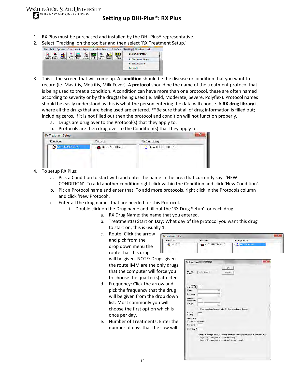

#### **Setting up DHI‐Plus®: RX Plus**

- 1. RX Plus must be purchased and installed by the DHI-Plus<sup>®</sup> representative.
- 2. Select 'Tracking' on the toolbar and then select 'RX Treatment Setup.'



- 3. This is the screen that will come up. A **condition** should be the disease or condition that you want to record (ie. Mastitis, Metritis, Milk Fever). A **protocol** should be the name of the treatment protocol that is being used to treat a condition. A condition can have more than one protocol, these are often named according to severity or by the drug(s) being used (ie. Mild, Moderate, Severe, Polyflex). Protocol names should be easily understood as this is what the person entering the data will choose. A **RX drug library** is where all the drugs that are being used are entered. \*\*Be sure that all of drug information is filled out; including zeros, if it is not filled out then the protocol and condition will not function properly.
	- a. Drugs are drug over to the Protocol(s) that they apply to.
	- b. Protocols are then drug over to the Condition(s) that they apply to.

| <b>Conditions</b>       | Protocols    | Rx Drug Library           |
|-------------------------|--------------|---------------------------|
| <b>EX NEW CONDITION</b> | NEW PROTOCOL | <b>K</b> NEW DRUG ROUTINE |

- 4. To setup RX Plus:
	- a. Pick a Condition to start with and enter the name in the area that currently says 'NEW CONDITION'. To add another condition right click within the Condition and click 'New Condition'.
	- b. Pick a Protocol name and enter that. To add more protocols, right click in the Protocols column and click 'New Protocol'.
	- c. Enter all the drug names that are needed for this Protocol.
		- i. Double click on the Drug name and fill out the 'RX Drug Setup' for each drug.
			- a. RX Drug Name: the name that you entered.
			- b. Treatment(s) Start on Day: What day of the protocol you want this drug to start on; this is usually 1.

**Rx Treatme** Condition

c. Route: Click the arrow and pick from the drop down menu the route that this drug

will be given. NOTE: Drugs give the route IMM are the only dru that the computer will force yo to choose the quarter(s) affected.

- d. Frequency: Click the arrow and pick the frequency that the drug will be given from the drop dow list. Most commonly you will choose the first option which is once per day.
- e. Number of Treatments: Enter the number of days that the cow w

| <b>Rx Drug Library</b><br>Conditions<br>Protocols.<br><b>K</b> SPECTRAMAST<br><b>ER MASTITIS</b><br>MILD-SPECTRAMAST<br>şiven<br>Rx Drug Setup: SPECTRAMAST<br>drugs<br><b>DK</b><br>e you<br>Rs Drug<br><b>BREETRAMAST</b><br>Cancel<br>Name.<br>ected.<br>Treatment(s)<br>$\overline{1}$<br>Start on Day<br>drug<br><b>Route</b><br>Frequency<br>۰<br>down<br>Number of<br>Treatments |   |
|-----------------------------------------------------------------------------------------------------------------------------------------------------------------------------------------------------------------------------------------------------------------------------------------------------------------------------------------------------------------------------------------|---|
|                                                                                                                                                                                                                                                                                                                                                                                         |   |
|                                                                                                                                                                                                                                                                                                                                                                                         | x |
|                                                                                                                                                                                                                                                                                                                                                                                         |   |
|                                                                                                                                                                                                                                                                                                                                                                                         |   |
|                                                                                                                                                                                                                                                                                                                                                                                         |   |
|                                                                                                                                                                                                                                                                                                                                                                                         |   |
|                                                                                                                                                                                                                                                                                                                                                                                         |   |
|                                                                                                                                                                                                                                                                                                                                                                                         |   |
|                                                                                                                                                                                                                                                                                                                                                                                         |   |
| Dosage<br>×                                                                                                                                                                                                                                                                                                                                                                             |   |
| F Enable additional treatments for this drug with different dosages                                                                                                                                                                                                                                                                                                                     |   |
| Move to<br>T-String                                                                                                                                                                                                                                                                                                                                                                     |   |
| Withholding:<br>er the<br>Dry Cow Treatment                                                                                                                                                                                                                                                                                                                                             |   |
| Milk (Days)                                                                                                                                                                                                                                                                                                                                                                             |   |
| w will<br>Meat (Days)                                                                                                                                                                                                                                                                                                                                                                   |   |
| Example of a drug that has a "Loading" dose and additional treaments with a different dose.                                                                                                                                                                                                                                                                                             |   |
| Stage 1: 90 cc are given for 1 treatment on day 1<br>Stage 2: 45 cc are given for 4 treatments starting on day 2                                                                                                                                                                                                                                                                        |   |
|                                                                                                                                                                                                                                                                                                                                                                                         |   |
|                                                                                                                                                                                                                                                                                                                                                                                         |   |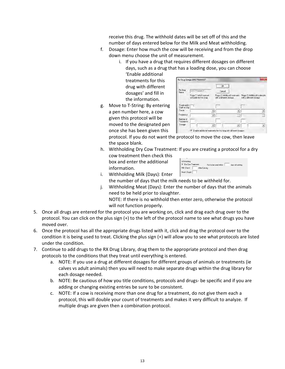receive this drug. The withhold dates will be set off of this and the number of days entered below for the Milk and Meat withholding.

- f. Dosage: Enter how much the cow will be receiving and from the drop down menu choose the unit of measurement.
	- i. If you have a drug that requires different dosages on different days, such as a drug that has a loading dose, you can choose 'Enable additional

treatments for this drug with different dosages' and fill in the information.

g. Move to T‐String: By entering a pen number here, a cow given this protocol will be moved to the designated pen once she has been given this

|                                            | Rx Drug Setup: SPECTRAMAST                                                |                                                                                  | $\mathbf{\bar{x}}$                                         |
|--------------------------------------------|---------------------------------------------------------------------------|----------------------------------------------------------------------------------|------------------------------------------------------------|
| R <sub>x</sub> Drug<br>Name                | <b>SPECTBAMAST</b><br>Stage 1: Initial treament<br>schedule for this drug | <b>DK</b><br>Cancel<br>Stage 2: Additional treatments<br>with a different dosage | Stage 3: Additional treatments:<br>with a different dosage |
| Treatment(s) $\frac{1}{1}$<br>Start on Day |                                                                           |                                                                                  |                                                            |
| <b>Route</b><br>Frequency                  |                                                                           |                                                                                  |                                                            |
| Number of<br>Treatments                    |                                                                           |                                                                                  |                                                            |
| Dosage                                     |                                                                           |                                                                                  |                                                            |
|                                            | ⊽                                                                         | Enable additional treatments for this drug with different dosages                |                                                            |

protocol. If you do not want the protocol to move the cow, then leave the space blank.

h. Withholding Dry Cow Treatment: If you are creating a protocol for a dry cow treatment then check this box and enter the additional information.

| Withholding:<br><b>▽</b> Dry Cow Treatment<br>Not to be used within<br>days of calving |
|----------------------------------------------------------------------------------------|
| Milk (Days)<br>After Calving                                                           |
| Meat (Days)                                                                            |

- i. Withholding Milk (Days): Enter the number of days that the milk needs to be withheld for.
- j. Withholding Meat (Days): Enter the number of days that the animals need to be held prior to slaughter. NOTE: If there is no withhold then enter zero, otherwise the protocol

will not function properly.

- 5. Once all drugs are entered for the protocol you are working on, click and drag each drug over to the protocol. You can click on the plus sign (+) to the left of the protocol name to see what drugs you have moved over.
- 6. Once the protocol has all the appropriate drugs listed with it, click and drag the protocol over to the condition it is being used to treat. Clicking the plus sign (+) will allow you to see what protocols are listed under the condition.
- 7. Continue to add drugs to the RX Drug Library, drag them to the appropriate protocol and then drag protocols to the conditions that they treat until everything is entered.
	- a. NOTE: If you use a drug at different dosages for different groups of animals or treatments (ie calves vs adult animals) then you will need to make separate drugs within the drug library for each dosage needed.
	- b. NOTE: Be cautious of how you title conditions, protocols and drugs‐ be specific and if you are adding or changing existing entries be sure to be consistent.
	- c. NOTE: If a cow is receiving more than one drug for a treatment, do not give them each a protocol, this will double your count of treatments and makes it very difficult to analyze. If multiple drugs are given then a combination protocol.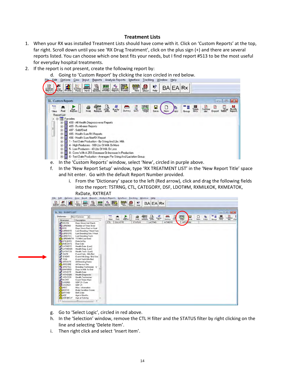#### **Treatment Lists**

- 1. When your RX was installed Treatment Lists should have come with it. Click on 'Custom Reports' at the top, far right. Scroll down until you see 'RX Drug Treatment', click on the plus sign (+) and there are several reports listed. You can choose which one best fits your needs, but I find report #513 to be the most useful for everyday hospital treatments.
- 2. If the report is not present, create the following report by:
	- d. Going to 'Custom Report' by clicking the icon circled in red below.<br>Ledit Options Cow Input Beports Analysis Reports Interface Iracking Window Help



- e. In the 'Custom Reports' window, select 'New', circled in purple above.
- f. In the 'New Report Setup' window, type 'RX TREATMENT LIST' in the 'New Report Title' space and hit enter. Go with the default Report Number provided.
	- i. From the 'Dictionary' space to the left (Red arrow), click and drag the following fields into the report: TSTRNG, CTL, CATEGORY, DSF, LDOT#M, RXMILKOK, RXMEATOK, RxDate, RXTREAT

|         |           |  |  |  |  |  |                  |  |  |               |             |  |                         |  |             |  |  |                                                                                                                                                                                                                                                                                                                                                                                                                                                                                                                                |  |                                                |  |  |  |   |  |                           |  |                 |  |                    |  |       |  |                                                                                        |  |  | $-10 - 8$ |  |
|---------|-----------|--|--|--|--|--|------------------|--|--|---------------|-------------|--|-------------------------|--|-------------|--|--|--------------------------------------------------------------------------------------------------------------------------------------------------------------------------------------------------------------------------------------------------------------------------------------------------------------------------------------------------------------------------------------------------------------------------------------------------------------------------------------------------------------------------------|--|------------------------------------------------|--|--|--|---|--|---------------------------|--|-----------------|--|--------------------|--|-------|--|----------------------------------------------------------------------------------------|--|--|-----------|--|
| CALVDTE | œ<br>Find |  |  |  |  |  | $rac{R}{Raport}$ |  |  | <b>STATUS</b> | $rac{1}{2}$ |  | <b>City</b><br>Bultiple |  | 驫<br>LACTNO |  |  | $\begin{matrix} \text{ } & \text{ } \\ \text{ } & \text{ } \\ \text{ } & \text{ } \\ \text{ } & \text{ } \\ \text{ } & \text{ } \\ \text{ } & \text{ } \\ \text{ } & \text{ } \\ \text{ } & \text{ } \\ \text{ } & \text{ } \\ \text{ } & \text{ } \\ \text{ } & \text{ } \\ \text{ } & \text{ } \\ \text{ } & \text{ } \\ \text{ } & \text{ } \\ \text{ } & \text{ } \\ \text{ } & \text{ } \\ \text{ } & \text{ } \\ \text{ } & \text{ } \\ \text{ } & \text{ } \\ \text{ } & \text{ } \\ \text{ } & \text{ } \\ \text{ } &$ |  | $\blacksquare$<br>Dictnry Sor<br><b>HTHDTE</b> |  |  |  | 霉 |  | ь<br>ave<br><b>HTHAGN</b> |  | □<br><b>Hew</b> |  | <b>Cha</b><br>Copy |  | Group |  | $\begin{array}{c}\n\text{III} \\ \text{Ddd} \\ \text{Ddd} \\ \text{Only}\n\end{array}$ |  |  | EN        |  |

- g. Go to 'Select Logic', circled in red above.
- h. In the 'Selection' window, remove the CTL H filter and the STATUS filter by right clicking on the line and selecting 'Delete Item'.
- i. Then right click and select 'Insert Item'.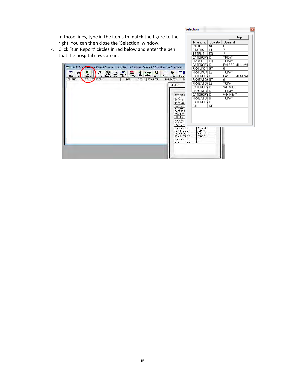|          |                                                                                                                                                                                                                                                                                                                                                                                                                                                                                                                                                                                                                                                                                                                  | Selection<br>B                                                                                                                                                                                                                                                                                                                                                                                                                 |
|----------|------------------------------------------------------------------------------------------------------------------------------------------------------------------------------------------------------------------------------------------------------------------------------------------------------------------------------------------------------------------------------------------------------------------------------------------------------------------------------------------------------------------------------------------------------------------------------------------------------------------------------------------------------------------------------------------------------------------|--------------------------------------------------------------------------------------------------------------------------------------------------------------------------------------------------------------------------------------------------------------------------------------------------------------------------------------------------------------------------------------------------------------------------------|
| j.<br>k. | In those lines, type in the items to match the figure to the<br>right. You can then close the 'Selection' window.<br>Click 'Run Report' circles in red below and enter the pen<br>that the hospital cows are in.                                                                                                                                                                                                                                                                                                                                                                                                                                                                                                 | Help<br>Mnemonic<br>Operator<br>Operand<br><b>NE</b><br><b>CTLH</b><br>Η<br>7<br><b>STATUS</b><br>LT<br>2<br><b>TSTRNG</b><br>EQ<br>CATEGORY C<br>TREAT                                                                                                                                                                                                                                                                        |
|          | E 513 - Rx Drug Treatment List (All Cows in Hospital Pen) ( 0 Animals Selected, 0 Data Lines ) -- Completed<br>$rac{1}{\text{Rupby}}$<br>73<br><b>S</b> Sprint Print<br>Print Multiple Print<br>羈<br>n.<br>$Dictmry$ sort<br>R<br>中<br>Ε<br>66<br>Report<br>Find<br>Save<br>Titles<br><b>New</b><br>Copy<br>Group<br>CTL CALEGORY<br>DSF<br>LDOT#M RXMILKOK<br><b>RXMEATOK</b><br><b>TSTRNG</b><br>Selection<br>Mnemonic<br><b>CTLH</b><br><b>STATUS</b><br><b>TSTRNG</b><br>CATEGOF<br><b>RXDATE</b><br>CATEGOR<br><b>RXMILKOI</b><br><b>RXMILKON</b><br>CATEGOF<br><b>RXMEATC</b><br><b>RXMEATO</b><br><b>CATEGORY C</b><br>RXMILKOK GT<br><b>CATEGORY C</b><br><b>RXMEATON GT</b><br>CATEGORY C<br><b>CTL</b> | <b>RXDATE</b><br>EQ<br>TODAY<br>CATEGORY C<br>PASSED MILK WH<br>RXMILKOKI GT<br>0<br><b>TODAY</b><br>RXMILKOKI LE<br>CATEGORY C<br>PASSED MEAT WH<br><b>RXMEATON GT</b><br>0<br>B <sub>3</sub><br><b>RXMEATON LE</b><br>T0DAY<br>CATEGORY C<br>WH MILK<br>RXMILKOKI GT<br>TODAY<br>CATEGORY C<br>WH MEAT<br><b>RXMEATON GT</b><br>TODAY<br>CATEGORY C<br><b>GE</b><br><b>CTL</b><br>WH MILK<br>TODAY<br>WH MEAT<br>TODAY<br>GE |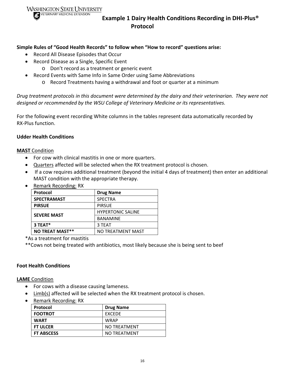**WASHINGTON STATE UNIVERSITY** 



#### **Example 1 Dairy Health Conditions Recording in DHI‐Plus® Protocol**

#### **Simple Rules of "Good Health Records" to follow when "How to record" questions arise:**

- Record All Disease Episodes that Occur
- Record Disease as a Single, Specific Event
	- o Don't record as a treatment or generic event
- Record Events with Same Info in Same Order using Same Abbreviations
	- o Record Treatments having a withdrawal and foot or quarter at a minimum

Drug treatment protocols in this document were determined by the dairy and their veterinarian. They were not *designed or recommended by the WSU College of Veterinary Medicine or its representatives.*

For the following event recording White columns in the tables represent data automatically recorded by RX‐Plus function.

#### **Udder Health Conditions**

#### **MAST** Condition

- For cow with clinical mastitis in one or more quarters.
- Quarters affected will be selected when the RX treatment protocol is chosen.
- If a cow requires additional treatment (beyond the initial 4 days of treatment) then enter an additional MAST condition with the appropriate therapy.

| NUTTER NUCLES NO. NO   |                          |
|------------------------|--------------------------|
| Protocol               | <b>Drug Name</b>         |
| <b>SPECTRAMAST</b>     | <b>SPECTRA</b>           |
| <b>PIRSUE</b>          | <b>PIRSUE</b>            |
| <b>SEVERE MAST</b>     | <b>HYPERTONIC SALINE</b> |
|                        | <b>BANAMINE</b>          |
| 3 TEAT*                | 3 TEAT                   |
| <b>NO TREAT MAST**</b> | NO TREATMENT MAST        |

Remark Recording: RX

\*As a treatment for mastitis

\*\*Cows not being treated with antibiotics, most likely because she is being sent to beef

#### **Foot Health Conditions**

**LAME** Condition

- For cows with a disease causing lameness.
- Limb(s) affected will be selected when the RX treatment protocol is chosen.
- Remark Recording: RX

| Protocol          | <b>Drug Name</b> |
|-------------------|------------------|
| <b>FOOTROT</b>    | <b>FXCFDF</b>    |
| <b>WART</b>       | <b>WRAP</b>      |
| <b>FT ULCER</b>   | NO TREATMENT     |
| <b>FT ABSCESS</b> | NO TREATMENT     |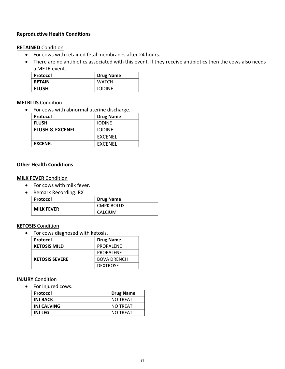#### **Reproductive Health Conditions**

#### **RETAINED** Condition

- For cows with retained fetal membranes after 24 hours.
- There are no antibiotics associated with this event. If they receive antibiotics then the cows also needs a METR event.

| Protocol      | <b>Drug Name</b> |
|---------------|------------------|
| <b>RETAIN</b> | <b>WATCH</b>     |
| <b>FLUSH</b>  | <b>IODINE</b>    |

#### **METRITIS** Condition

• For cows with abnormal uterine discharge.

| Protocol                   | <b>Drug Name</b> |
|----------------------------|------------------|
| <b>FLUSH</b>               | <b>IODINE</b>    |
| <b>FLUSH &amp; EXCENEL</b> | <b>IODINE</b>    |
|                            | EXCENEL          |
| <b>EXCENEL</b>             | <b>FXCFNFL</b>   |

#### **Other Health Conditions**

#### **MILK FEVER** Condition

- For cows with milk fever.
- Remark Recording: RX

| Protocol          | <b>Drug Name</b>  |
|-------------------|-------------------|
| <b>MILK FEVER</b> | <b>CMPK BOLUS</b> |
|                   | CALCIUM           |

#### **KETOSIS** Condition

For cows diagnosed with ketosis.

| Protocol              | <b>Drug Name</b>   |
|-----------------------|--------------------|
| <b>KETOSIS MILD</b>   | <b>PROPALENE</b>   |
|                       | <b>PROPALENE</b>   |
| <b>KETOSIS SEVERE</b> | <b>BOVA DRENCH</b> |
|                       | <b>DEXTROSE</b>    |

#### **INJURY** Condition

• For injured cows.

| Protocol        | <b>Drug Name</b> |
|-----------------|------------------|
| <b>INJ BACK</b> | <b>NO TREAT</b>  |
| INJ CALVING     | <b>NO TREAT</b>  |
| <b>INJ LEG</b>  | <b>NO TREAT</b>  |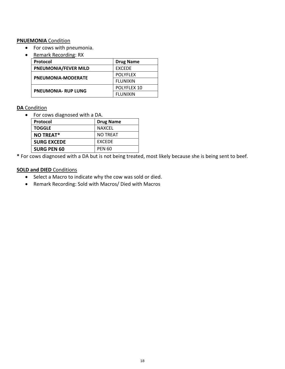#### **PNUEMONIA** Condition

- For cows with pneumonia.
- Remark Recording: RX

| Protocol                   | <b>Drug Name</b> |
|----------------------------|------------------|
| PNEUMONIA/FEVER MILD       | <b>EXCEDE</b>    |
|                            | <b>POLYFLEX</b>  |
| PNEUMONIA-MODERATE         | <b>FLUNIXIN</b>  |
|                            | POLYFLEX 10      |
| <b>PNEUMONIA- RUP LUNG</b> | <b>FLUNIXIN</b>  |

#### **DA** Condition

For cows diagnosed with a DA.

| Protocol           | <b>Drug Name</b> |
|--------------------|------------------|
| <b>TOGGLE</b>      | <b>NAXCEL</b>    |
| <b>NO TREAT*</b>   | <b>NO TREAT</b>  |
| <b>SURG EXCEDE</b> | <b>EXCEDE</b>    |
| <b>SURG PEN 60</b> | <b>PEN 60</b>    |

**\*** For cows diagnosed with a DA but is not being treated, most likely because she is being sent to beef.

#### **SOLD and DIED** Conditions

- Select a Macro to indicate why the cow was sold or died.
- Remark Recording: Sold with Macros/ Died with Macros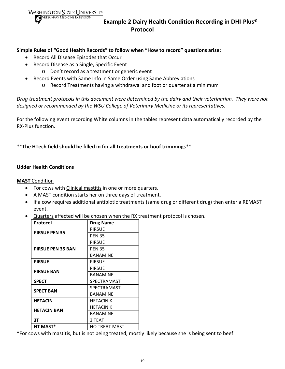**WASHINGTON STATE UNIVERSITY** 



#### **Example 2 Dairy Health Condition Recording in DHI‐Plus® Protocol**

#### **Simple Rules of "Good Health Records" to follow when "How to record" questions arise:**

- Record All Disease Episodes that Occur
- Record Disease as a Single, Specific Event
	- o Don't record as a treatment or generic event
- Record Events with Same Info in Same Order using Same Abbreviations
	- o Record Treatments having a withdrawal and foot or quarter at a minimum

Drug treatment protocols in this document were determined by the dairy and their veterinarian. They were not *designed or recommended by the WSU College of Veterinary Medicine or its representatives.*

For the following event recording White columns in the tables represent data automatically recorded by the RX‐Plus function.

#### **\*\*The HTech field should be filled in for all treatments or hoof trimmings\*\***

#### **Udder Health Conditions**

#### **MAST** Condition

- For cows with Clinical mastitis in one or more quarters.
- A MAST condition starts her on three days of treatment.
- If a cow requires additional antibiotic treatments (same drug or different drug) then enter a REMAST event.
- Quarters affected will be chosen when the RX treatment protocol is chosen.

| Protocol                 | <b>Drug Name</b> |
|--------------------------|------------------|
| <b>PIRSUE PEN 35</b>     | <b>PIRSUE</b>    |
|                          | <b>PEN 35</b>    |
|                          | <b>PIRSUE</b>    |
| <b>PIRSUE PEN 35 BAN</b> | <b>PEN 35</b>    |
|                          | <b>BANAMINE</b>  |
| <b>PIRSUE</b>            | <b>PIRSUE</b>    |
| <b>PIRSUE BAN</b>        | <b>PIRSUE</b>    |
|                          | <b>BANAMINE</b>  |
| <b>SPECT</b>             | SPECTRAMAST      |
| <b>SPECT BAN</b>         | SPECTRAMAST      |
|                          | <b>BANAMINE</b>  |
| <b>HETACIN</b>           | <b>HETACIN K</b> |
|                          | <b>HETACIN K</b> |
| <b>HETACIN BAN</b>       | <b>BANAMINE</b>  |
| 3Т                       | 3 TEAT           |
| NT MAST*                 | NO TREAT MAST    |

\*For cows with mastitis, but is not being treated, mostly likely because she is being sent to beef.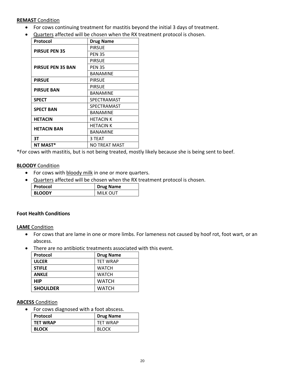#### **REMAST** Condition

- For cows continuing treatment for mastitis beyond the initial 3 days of treatment.
- Quarters affected will be chosen when the RX treatment protocol is chosen.

| Protocol                 | <b>Drug Name</b> |
|--------------------------|------------------|
| <b>PIRSUE PEN 35</b>     | <b>PIRSUE</b>    |
|                          | <b>PEN 35</b>    |
|                          | <b>PIRSUE</b>    |
| <b>PIRSUE PEN 35 BAN</b> | <b>PEN 35</b>    |
|                          | <b>BANAMINE</b>  |
| <b>PIRSUE</b>            | PIRSUE           |
| <b>PIRSUE BAN</b>        | <b>PIRSUE</b>    |
|                          | <b>BANAMINE</b>  |
| <b>SPECT</b>             | SPECTRAMAST      |
| <b>SPECT BAN</b>         | SPECTRAMAST      |
|                          | <b>BANAMINE</b>  |
| <b>HETACIN</b>           | <b>HETACIN K</b> |
|                          | <b>HETACIN K</b> |
| <b>HETACIN BAN</b>       | <b>BANAMINE</b>  |
| 3T                       | 3 TEAT           |
| NT MAST*                 | NO TREAT MAST    |

\*For cows with mastitis, but is not being treated, mostly likely because she is being sent to beef.

#### **BLOODY** Condition

- For cows with bloody milk in one or more quarters.
- Quarters affected will be chosen when the RX treatment protocol is chosen.

| Protocol      | <b>Drug Name</b> |
|---------------|------------------|
| <b>BLOODY</b> | MILK OUT         |

#### **Foot Health Conditions**

#### **LAME** Condition

- For cows that are lame in one or more limbs. For lameness not caused by hoof rot, foot wart, or an abscess.
- There are no antibiotic treatments associated with this event.

| <b>Protocol</b> | <b>Drug Name</b> |
|-----------------|------------------|
| <b>ULCER</b>    | <b>TET WRAP</b>  |
| <b>STIFLE</b>   | <b>WATCH</b>     |
| <b>ANKLE</b>    | <b>WATCH</b>     |
| <b>HIP</b>      | <b>WATCH</b>     |
| <b>SHOULDER</b> | WATCH            |

#### **ABCESS** Condition

• For cows diagnosed with a foot abscess.

| Protocol        | <b>Drug Name</b> |
|-----------------|------------------|
| <b>TET WRAP</b> | <b>TFT WRAP</b>  |
| <b>BLOCK</b>    | <b>BLOCK</b>     |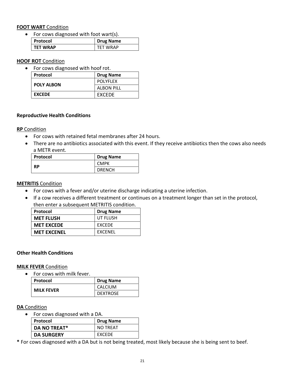#### **FOOT WART** Condition

For cows diagnosed with foot wart(s).

| Protocol        | <b>Drug Name</b> |
|-----------------|------------------|
| <b>TET WRAP</b> | <b>TFT WRAP</b>  |

**HOOF ROT** Condition

For cows diagnosed with hoof rot.

| Protocol          | <b>Drug Name</b>  |
|-------------------|-------------------|
| <b>POLY ALBON</b> | <b>POLYFLEX</b>   |
|                   | <b>ALBON PILL</b> |
| <b>EXCEDE</b>     | <b>FXCFDF</b>     |

#### **Reproductive Health Conditions**

#### **RP** Condition

- For cows with retained fetal membranes after 24 hours.
- There are no antibiotics associated with this event. If they receive antibiotics then the cows also needs a METR event.

| Protocol | <b>Drug Name</b> |
|----------|------------------|
| RP       | <b>CMPK</b>      |
|          | <b>DRENCH</b>    |

#### **METRITIS** Condition

- For cows with a fever and/or uterine discharge indicating a uterine infection.
- If a cow receives a different treatment or continues on a treatment longer than set in the protocol, then enter a subsequent METRITIS condition.

| Protocol           | <b>Drug Name</b> |
|--------------------|------------------|
| <b>MET FLUSH</b>   | UT FLUSH         |
| <b>MET EXCEDE</b>  | EXCEDE           |
| <b>MET EXCENEL</b> | <b>EXCENEL</b>   |

#### **Other Health Conditions**

#### **MILK FEVER** Condition

• For cows with milk fever.

| Protocol          | <b>Drug Name</b> |
|-------------------|------------------|
| <b>MILK FEVER</b> | <b>CALCIUM</b>   |
|                   | <b>DEXTROSE</b>  |

#### **DA** Condition

For cows diagnosed with a DA.

| Protocol            | <b>Drug Name</b> |
|---------------------|------------------|
| <b>DA NO TREAT*</b> | <b>NO TREAT</b>  |
| <b>DA SURGERY</b>   | EXCEDE           |

**\*** For cows diagnosed with a DA but is not being treated, most likely because she is being sent to beef.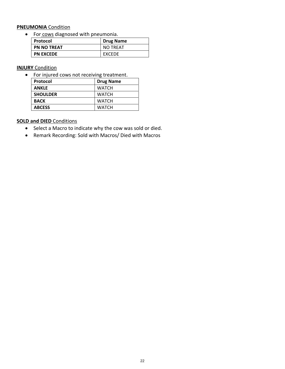#### **PNEUMONIA** Condition

For cows diagnosed with pneumonia.

| Protocol           | <b>Drug Name</b> |
|--------------------|------------------|
| <b>PN NO TREAT</b> | <b>NO TREAT</b>  |
| <b>PN EXCEDE</b>   | <b>FXCFDF</b>    |

#### **INJURY** Condition

• For injured cows not receiving treatment.

| Protocol        | <b>Drug Name</b> |
|-----------------|------------------|
| <b>ANKLE</b>    | <b>WATCH</b>     |
| <b>SHOULDER</b> | <b>WATCH</b>     |
| <b>BACK</b>     | <b>WATCH</b>     |
| <b>ABCESS</b>   | <b>WATCH</b>     |

#### **SOLD and DIED** Conditions

- Select a Macro to indicate why the cow was sold or died.
- Remark Recording: Sold with Macros/ Died with Macros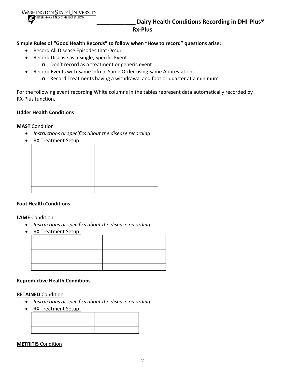

**\_\_\_\_\_\_\_\_\_\_\_\_\_\_ Dairy Health Conditions Recording in DHI‐Plus® Rx‐Plus**

**Simple Rules of "Good Health Records" to follow when "How to record" questions arise:**

- Record All Disease Episodes that Occur
- Record Disease as a Single, Specific Event
	- o Don't record as a treatment or generic event
- Record Events with Same Info in Same Order using Same Abbreviations
	- o Record Treatments having a withdrawal and foot or quarter at a minimum

For the following event recording White columns in the tables represent data automatically recorded by RX‐Plus function.

#### **Udder Health Conditions**

#### **MAST** Condition

- *Instructions or specifics about the disease recording*
- RX Treatment Setup:

#### **Foot Health Conditions**

#### **LAME** Condition

- *Instructions or specifics about the disease recording*
- RX Treatment Setup:

#### **Reproductive Health Conditions**

#### **RETAINED** Condition

- *Instructions or specifics about the disease recording*
- RX Treatment Setup:

#### **METRITIS** Condition